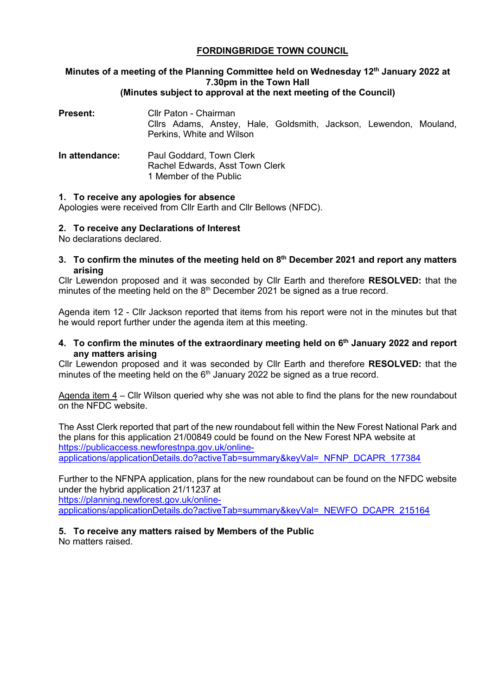### **FORDINGBRIDGE TOWN COUNCIL**

## **Minutes of a meeting of the Planning Committee held on Wednesday 12th January 2022 at 7.30pm in the Town Hall**

#### **(Minutes subject to approval at the next meeting of the Council)**

| Present:       | Cllr Paton - Chairman<br>Cllrs Adams, Anstey, Hale, Goldsmith, Jackson, Lewendon, Mouland,<br>Perkins, White and Wilson |
|----------------|-------------------------------------------------------------------------------------------------------------------------|
| In attendance: | Paul Goddard, Town Clerk<br>Rachel Edwards, Asst Town Clerk<br>1 Member of the Public                                   |

#### **1. To receive any apologies for absence**

Apologies were received from Cllr Earth and Cllr Bellows (NFDC).

#### **2. To receive any Declarations of Interest**

No declarations declared.

**3. To confirm the minutes of the meeting held on 8th December 2021 and report any matters arising**

Cllr Lewendon proposed and it was seconded by Cllr Earth and therefore **RESOLVED:** that the minutes of the meeting held on the  $8<sup>th</sup>$  December 2021 be signed as a true record.

Agenda item 12 - Cllr Jackson reported that items from his report were not in the minutes but that he would report further under the agenda item at this meeting.

**4. To confirm the minutes of the extraordinary meeting held on 6th January 2022 and report any matters arising**

Cllr Lewendon proposed and it was seconded by Cllr Earth and therefore **RESOLVED:** that the minutes of the meeting held on the  $6<sup>th</sup>$  January 2022 be signed as a true record.

Agenda item 4 – Cllr Wilson queried why she was not able to find the plans for the new roundabout on the NFDC website.

The Asst Clerk reported that part of the new roundabout fell within the New Forest National Park and the plans for this application 21/00849 could be found on the New Forest NPA website at [https://publicaccess.newforestnpa.gov.uk/online](https://publicaccess.newforestnpa.gov.uk/online-applications/applicationDetails.do?activeTab=summary&keyVal=_NFNP_DCAPR_177384)[applications/applicationDetails.do?activeTab=summary&keyVal=\\_NFNP\\_DCAPR\\_177384](https://publicaccess.newforestnpa.gov.uk/online-applications/applicationDetails.do?activeTab=summary&keyVal=_NFNP_DCAPR_177384)

Further to the NFNPA application, plans for the new roundabout can be found on the NFDC website under the hybrid application 21/11237 at [https://planning.newforest.gov.uk/online-](https://planning.newforest.gov.uk/online-applications/applicationDetails.do?activeTab=summary&keyVal=_NEWFO_DCAPR_215164)

[applications/applicationDetails.do?activeTab=summary&keyVal=\\_NEWFO\\_DCAPR\\_215164](https://planning.newforest.gov.uk/online-applications/applicationDetails.do?activeTab=summary&keyVal=_NEWFO_DCAPR_215164)

#### **5. To receive any matters raised by Members of the Public**

No matters raised.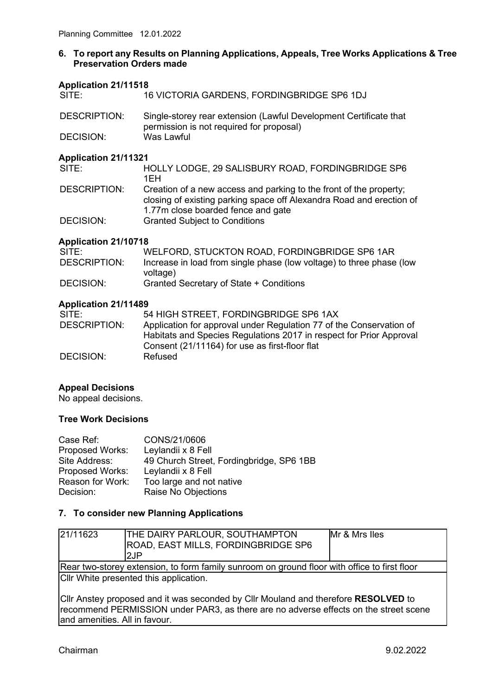#### **6. To report any Results on Planning Applications, Appeals, Tree Works Applications & Tree Preservation Orders made**

# **Application 21/11518**

16 VICTORIA GARDENS, FORDINGBRIDGE SP6 1DJ

| <b>DESCRIPTION:</b> | Single-storey rear extension (Lawful Development Certificate that |
|---------------------|-------------------------------------------------------------------|
|                     | permission is not required for proposal)                          |
| DECISION:           | Was Lawful                                                        |

#### **Application 21/11321**

| HOLLY LODGE, 29 SALISBURY ROAD, FORDINGBRIDGE SP6                    |
|----------------------------------------------------------------------|
| 1FH                                                                  |
| Creation of a new access and parking to the front of the property;   |
| closing of existing parking space off Alexandra Road and erection of |
| 1.77m close boarded fence and gate                                   |
| <b>Granted Subject to Conditions</b>                                 |
|                                                                      |

#### **Application 21/10718**

| SITE:               | WELFORD, STUCKTON ROAD, FORDINGBRIDGE SP6 1AR                        |
|---------------------|----------------------------------------------------------------------|
| <b>DESCRIPTION:</b> | Increase in load from single phase (low voltage) to three phase (low |
|                     | voltage)                                                             |
| DECISION:           | Granted Secretary of State + Conditions                              |

#### **Application 21/11489**

| SITE:               | 54 HIGH STREET, FORDINGBRIDGE SP6 1AX                               |
|---------------------|---------------------------------------------------------------------|
| <b>DESCRIPTION:</b> | Application for approval under Regulation 77 of the Conservation of |
|                     | Habitats and Species Regulations 2017 in respect for Prior Approval |
|                     | Consent (21/11164) for use as first-floor flat                      |
| DECISION:           | Refused                                                             |

#### **Appeal Decisions**

No appeal decisions.

#### **Tree Work Decisions**

| Case Ref:              | CONS/21/0606                             |
|------------------------|------------------------------------------|
| <b>Proposed Works:</b> | Leylandii x 8 Fell                       |
| Site Address:          | 49 Church Street, Fordingbridge, SP6 1BB |
| <b>Proposed Works:</b> | Leylandii x 8 Fell                       |
| Reason for Work:       | Too large and not native                 |
| Decision:              | Raise No Objections                      |

#### **7. To consider new Planning Applications**

| 21/11623                                                                                                                                                                                                    | <b>THE DAIRY PARLOUR, SOUTHAMPTON</b> | Mr & Mrs Iles |
|-------------------------------------------------------------------------------------------------------------------------------------------------------------------------------------------------------------|---------------------------------------|---------------|
|                                                                                                                                                                                                             | ROAD, EAST MILLS, FORDINGBRIDGE SP6   |               |
|                                                                                                                                                                                                             | l2JP                                  |               |
| Rear two-storey extension, to form family sunroom on ground floor with office to first floor                                                                                                                |                                       |               |
| Cllr White presented this application.                                                                                                                                                                      |                                       |               |
| Cllr Anstey proposed and it was seconded by Cllr Mouland and therefore RESOLVED to<br>recommend PERMISSION under PAR3, as there are no adverse effects on the street scene<br>and amenities. All in favour. |                                       |               |
|                                                                                                                                                                                                             |                                       |               |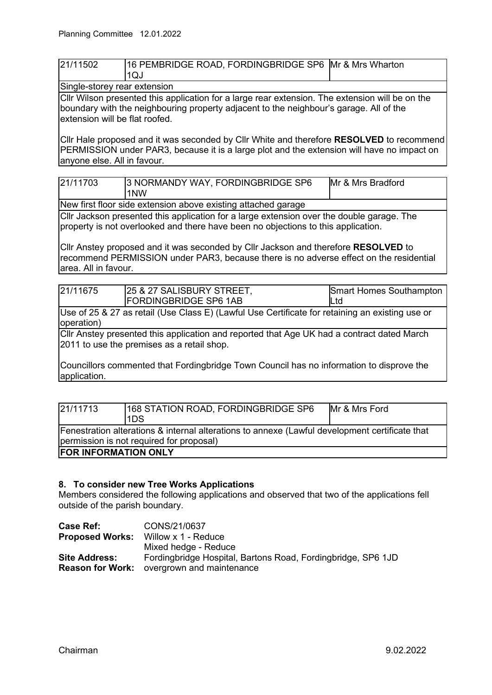| 21/11502                     | 16 PEMBRIDGE ROAD, FORDINGBRIDGE SP6 Mr & Mrs Wharton |  |
|------------------------------|-------------------------------------------------------|--|
|                              | 1QJ                                                   |  |
| Single-storey rear extension |                                                       |  |

Cllr Wilson presented this application for a large rear extension. The extension will be on the boundary with the neighbouring property adjacent to the neighbour's garage. All of the extension will be flat roofed.

Cllr Hale proposed and it was seconded by Cllr White and therefore **RESOLVED** to recommend PERMISSION under PAR3, because it is a large plot and the extension will have no impact on anyone else. All in favour.

| 21/11703 | 3 NORMANDY WAY, FORDINGBRIDGE SP6<br>1NW | Mr & Mrs Bradford |
|----------|------------------------------------------|-------------------|
|          |                                          |                   |

New first floor side extension above existing attached garage

Cllr Jackson presented this application for a large extension over the double garage. The property is not overlooked and there have been no objections to this application.

Cllr Anstey proposed and it was seconded by Cllr Jackson and therefore **RESOLVED** to recommend PERMISSION under PAR3, because there is no adverse effect on the residential area. All in favour.

| 21/11675                                                                                                 | 25 & 27 SALISBURY STREET,<br><b>FORDINGBRIDGE SP6 1AB</b>                                       | <b>Smart Homes Southampton</b><br>Ltd |
|----------------------------------------------------------------------------------------------------------|-------------------------------------------------------------------------------------------------|---------------------------------------|
|                                                                                                          |                                                                                                 |                                       |
|                                                                                                          | Use of 25 & 27 as retail (Use Class E) (Lawful Use Certificate for retaining an existing use or |                                       |
| operation)                                                                                               |                                                                                                 |                                       |
| Cllr Anstey presented this application and reported that Age UK had a contract dated March               |                                                                                                 |                                       |
| 2011 to use the premises as a retail shop.                                                               |                                                                                                 |                                       |
|                                                                                                          |                                                                                                 |                                       |
| Councillors commented that Fordingbridge Town Council has no information to disprove the<br>application. |                                                                                                 |                                       |

| 21/11713                                                                                                                                    | 168 STATION ROAD, FORDINGBRIDGE SP6<br>I1DS | Mr & Mrs Ford |
|---------------------------------------------------------------------------------------------------------------------------------------------|---------------------------------------------|---------------|
| Fenestration alterations & internal alterations to annexe (Lawful development certificate that<br>(permission is not required for proposal) |                                             |               |
| <b>FOR INFORMATION ONLY</b>                                                                                                                 |                                             |               |

#### **8. To consider new Tree Works Applications**

Members considered the following applications and observed that two of the applications fell outside of the parish boundary.

| Case Ref:               | CONS/21/0637                                                 |
|-------------------------|--------------------------------------------------------------|
| <b>Proposed Works:</b>  | Willow x 1 - Reduce                                          |
|                         | Mixed hedge - Reduce                                         |
| <b>Site Address:</b>    | Fordingbridge Hospital, Bartons Road, Fordingbridge, SP6 1JD |
| <b>Reason for Work:</b> | overgrown and maintenance                                    |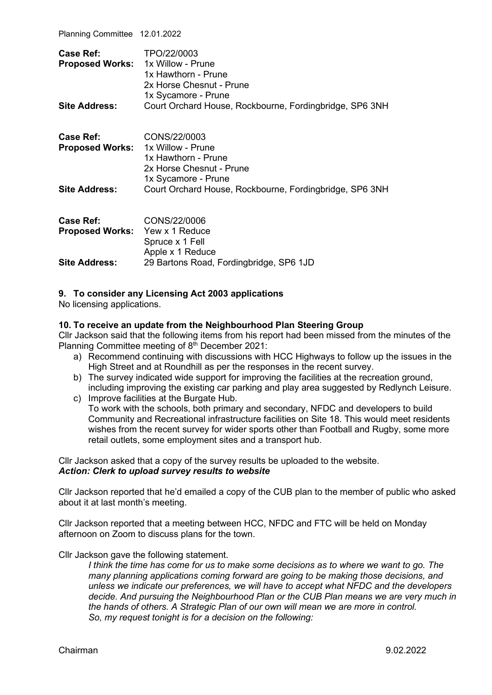Planning Committee 12.01.2022

| Case Ref:<br><b>Proposed Works:</b><br><b>Site Address:</b> | TPO/22/0003<br>1x Willow - Prune<br>1x Hawthorn - Prune<br>2x Horse Chesnut - Prune<br>1x Sycamore - Prune<br>Court Orchard House, Rockbourne, Fordingbridge, SP6 3NH |
|-------------------------------------------------------------|-----------------------------------------------------------------------------------------------------------------------------------------------------------------------|
| <b>Case Ref:</b><br><b>Proposed Works:</b>                  | CONS/22/0003<br>1x Willow - Prune<br>1x Hawthorn - Prune<br>2x Horse Chesnut - Prune<br>1x Sycamore - Prune                                                           |
| <b>Site Address:</b>                                        | Court Orchard House, Rockbourne, Fordingbridge, SP6 3NH                                                                                                               |
| <b>Case Ref:</b><br>Proposed Works: Yew x 1 Reduce          | CONS/22/0006<br>Spruce x 1 Fell<br>Apple x 1 Reduce                                                                                                                   |
| <b>Site Address:</b>                                        | 29 Bartons Road, Fordingbridge, SP6 1JD                                                                                                                               |

#### **9. To consider any Licensing Act 2003 applications**

No licensing applications.

#### **10. To receive an update from the Neighbourhood Plan Steering Group**

Cllr Jackson said that the following items from his report had been missed from the minutes of the Planning Committee meeting of 8<sup>th</sup> December 2021:

- a) Recommend continuing with discussions with HCC Highways to follow up the issues in the High Street and at Roundhill as per the responses in the recent survey.
- b) The survey indicated wide support for improving the facilities at the recreation ground, including improving the existing car parking and play area suggested by Redlynch Leisure.
- c) Improve facilities at the Burgate Hub. To work with the schools, both primary and secondary, NFDC and developers to build Community and Recreational infrastructure facilities on Site 18. This would meet residents wishes from the recent survey for wider sports other than Football and Rugby, some more retail outlets, some employment sites and a transport hub.

Cllr Jackson asked that a copy of the survey results be uploaded to the website. *Action: Clerk to upload survey results to website*

Cllr Jackson reported that he'd emailed a copy of the CUB plan to the member of public who asked about it at last month's meeting.

Cllr Jackson reported that a meeting between HCC, NFDC and FTC will be held on Monday afternoon on Zoom to discuss plans for the town.

Cllr Jackson gave the following statement.

*I think the time has come for us to make some decisions as to where we want to go. The many planning applications coming forward are going to be making those decisions, and unless we indicate our preferences, we will have to accept what NFDC and the developers decide. And pursuing the Neighbourhood Plan or the CUB Plan means we are very much in the hands of others. A Strategic Plan of our own will mean we are more in control. So, my request tonight is for a decision on the following:*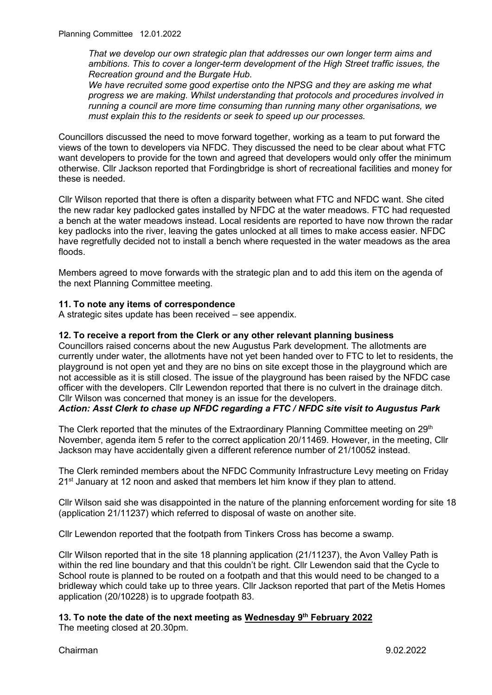*That we develop our own strategic plan that addresses our own longer term aims and ambitions. This to cover a longer-term development of the High Street traffic issues, the Recreation ground and the Burgate Hub.*

*We have recruited some good expertise onto the NPSG and they are asking me what progress we are making. Whilst understanding that protocols and procedures involved in running a council are more time consuming than running many other organisations, we must explain this to the residents or seek to speed up our processes.* 

Councillors discussed the need to move forward together, working as a team to put forward the views of the town to developers via NFDC. They discussed the need to be clear about what FTC want developers to provide for the town and agreed that developers would only offer the minimum otherwise. Cllr Jackson reported that Fordingbridge is short of recreational facilities and money for these is needed.

Cllr Wilson reported that there is often a disparity between what FTC and NFDC want. She cited the new radar key padlocked gates installed by NFDC at the water meadows. FTC had requested a bench at the water meadows instead. Local residents are reported to have now thrown the radar key padlocks into the river, leaving the gates unlocked at all times to make access easier. NFDC have regretfully decided not to install a bench where requested in the water meadows as the area floods.

Members agreed to move forwards with the strategic plan and to add this item on the agenda of the next Planning Committee meeting.

#### **11. To note any items of correspondence**

A strategic sites update has been received – see appendix.

#### **12. To receive a report from the Clerk or any other relevant planning business**

Councillors raised concerns about the new Augustus Park development. The allotments are currently under water, the allotments have not yet been handed over to FTC to let to residents, the playground is not open yet and they are no bins on site except those in the playground which are not accessible as it is still closed. The issue of the playground has been raised by the NFDC case officer with the developers. Cllr Lewendon reported that there is no culvert in the drainage ditch. Cllr Wilson was concerned that money is an issue for the developers.

#### *Action: Asst Clerk to chase up NFDC regarding a FTC / NFDC site visit to Augustus Park*

The Clerk reported that the minutes of the Extraordinary Planning Committee meeting on 29<sup>th</sup> November, agenda item 5 refer to the correct application 20/11469. However, in the meeting, Cllr Jackson may have accidentally given a different reference number of 21/10052 instead.

The Clerk reminded members about the NFDC Community Infrastructure Levy meeting on Friday  $21<sup>st</sup>$  January at 12 noon and asked that members let him know if they plan to attend.

Cllr Wilson said she was disappointed in the nature of the planning enforcement wording for site 18 (application 21/11237) which referred to disposal of waste on another site.

Cllr Lewendon reported that the footpath from Tinkers Cross has become a swamp.

Cllr Wilson reported that in the site 18 planning application (21/11237), the Avon Valley Path is within the red line boundary and that this couldn't be right. Cllr Lewendon said that the Cycle to School route is planned to be routed on a footpath and that this would need to be changed to a bridleway which could take up to three years. Cllr Jackson reported that part of the Metis Homes application (20/10228) is to upgrade footpath 83.

#### **13. To note the date of the next meeting as Wednesday 9th February 2022**

The meeting closed at 20.30pm.

Chairman 9.02.2022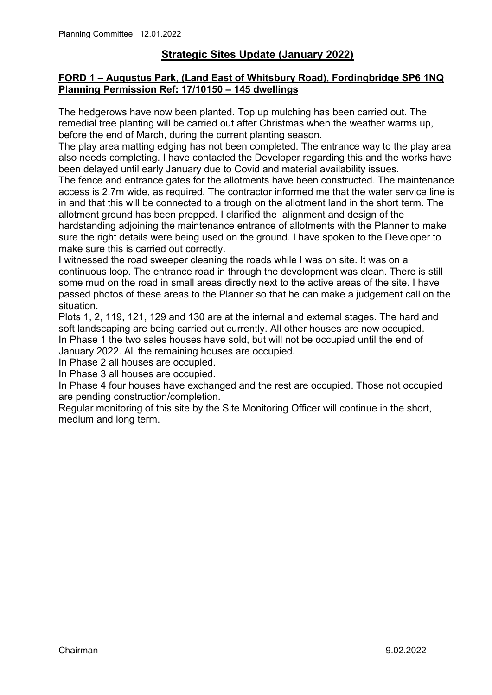# **Strategic Sites Update (January 2022)**

## **FORD 1 – Augustus Park, (Land East of Whitsbury Road), Fordingbridge SP6 1NQ Planning Permission Ref: 17/10150 – 145 dwellings**

The hedgerows have now been planted. Top up mulching has been carried out. The remedial tree planting will be carried out after Christmas when the weather warms up, before the end of March, during the current planting season.

The play area matting edging has not been completed. The entrance way to the play area also needs completing. I have contacted the Developer regarding this and the works have been delayed until early January due to Covid and material availability issues.

The fence and entrance gates for the allotments have been constructed. The maintenance access is 2.7m wide, as required. The contractor informed me that the water service line is in and that this will be connected to a trough on the allotment land in the short term. The allotment ground has been prepped. I clarified the alignment and design of the hardstanding adjoining the maintenance entrance of allotments with the Planner to make sure the right details were being used on the ground. I have spoken to the Developer to make sure this is carried out correctly.

I witnessed the road sweeper cleaning the roads while I was on site. It was on a continuous loop. The entrance road in through the development was clean. There is still some mud on the road in small areas directly next to the active areas of the site. I have passed photos of these areas to the Planner so that he can make a judgement call on the situation.

Plots 1, 2, 119, 121, 129 and 130 are at the internal and external stages. The hard and soft landscaping are being carried out currently. All other houses are now occupied. In Phase 1 the two sales houses have sold, but will not be occupied until the end of January 2022. All the remaining houses are occupied.

In Phase 2 all houses are occupied.

In Phase 3 all houses are occupied.

In Phase 4 four houses have exchanged and the rest are occupied. Those not occupied are pending construction/completion.

Regular monitoring of this site by the Site Monitoring Officer will continue in the short, medium and long term.